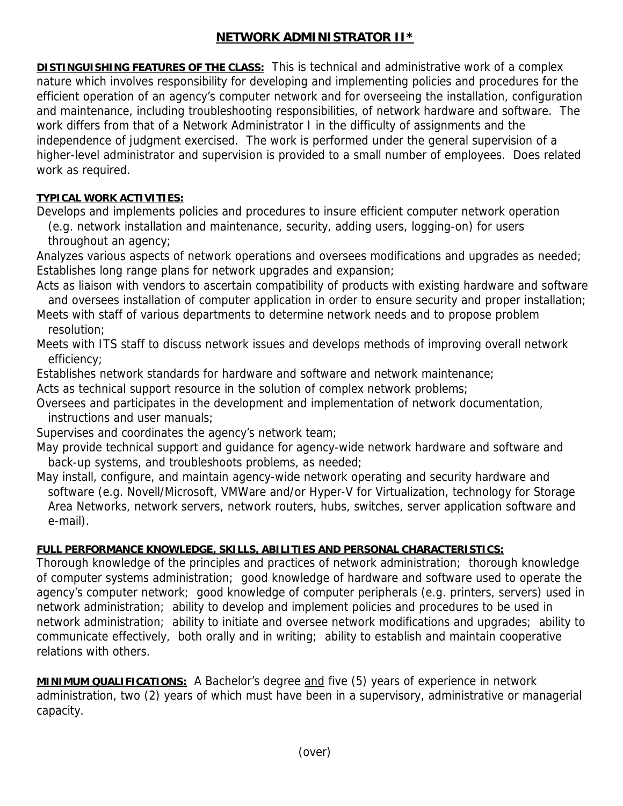## **NETWORK ADMINISTRATOR II\***

**DISTINGUISHING FEATURES OF THE CLASS:** This is technical and administrative work of a complex nature which involves responsibility for developing and implementing policies and procedures for the efficient operation of an agency's computer network and for overseeing the installation, configuration and maintenance, including troubleshooting responsibilities, of network hardware and software. The work differs from that of a Network Administrator I in the difficulty of assignments and the independence of judgment exercised. The work is performed under the general supervision of a higher-level administrator and supervision is provided to a small number of employees. Does related work as required.

## **TYPICAL WORK ACTIVITIES:**

Develops and implements policies and procedures to insure efficient computer network operation

 (e.g. network installation and maintenance, security, adding users, logging-on) for users throughout an agency;

Analyzes various aspects of network operations and oversees modifications and upgrades as needed; Establishes long range plans for network upgrades and expansion;

- Acts as liaison with vendors to ascertain compatibility of products with existing hardware and software and oversees installation of computer application in order to ensure security and proper installation;
- Meets with staff of various departments to determine network needs and to propose problem resolution;

Meets with ITS staff to discuss network issues and develops methods of improving overall network efficiency;

Establishes network standards for hardware and software and network maintenance;

Acts as technical support resource in the solution of complex network problems;

Oversees and participates in the development and implementation of network documentation, instructions and user manuals;

Supervises and coordinates the agency's network team;

May provide technical support and guidance for agency-wide network hardware and software and back-up systems, and troubleshoots problems, as needed;

May install, configure, and maintain agency-wide network operating and security hardware and software (e.g. Novell/Microsoft, VMWare and/or Hyper-V for Virtualization, technology for Storage Area Networks, network servers, network routers, hubs, switches, server application software and e-mail).

## **FULL PERFORMANCE KNOWLEDGE, SKILLS, ABILITIES AND PERSONAL CHARACTERISTICS:**

Thorough knowledge of the principles and practices of network administration; thorough knowledge of computer systems administration; good knowledge of hardware and software used to operate the agency's computer network; good knowledge of computer peripherals (e.g. printers, servers) used in network administration; ability to develop and implement policies and procedures to be used in network administration; ability to initiate and oversee network modifications and upgrades; ability to communicate effectively, both orally and in writing; ability to establish and maintain cooperative relations with others.

**MINIMUM QUALIFICATIONS:** A Bachelor's degree and five (5) years of experience in network administration, two (2) years of which must have been in a supervisory, administrative or managerial capacity.